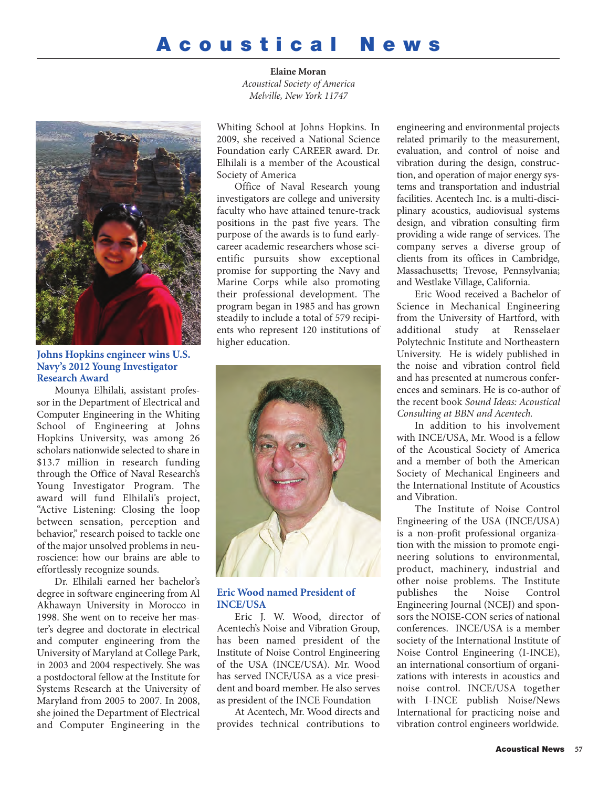## **A c o u s t i c a l N e w s**

**Elaine Moran** *Acoustical Society of America Melville, New York 11747*



**Johns Hopkins engineer wins U.S. Navy's 2012 Young Investigator Research Award**

Mounya Elhilali, assistant professor in the Department of Electrical and Computer Engineering in the Whiting School of Engineering at Johns Hopkins University, was among 26 scholars nationwide selected to share in \$13.7 million in research funding through the Office of Naval Research's Young Investigator Program. The award will fund Elhilali's project, "Active Listening: Closing the loop between sensation, perception and behavior," research poised to tackle one of the major unsolved problems in neuroscience: how our brains are able to effortlessly recognize sounds.

Dr. Elhilali earned her bachelor's degree in software engineering from Al Akhawayn University in Morocco in 1998. She went on to receive her master's degree and doctorate in electrical and computer engineering from the University of Maryland at College Park, in 2003 and 2004 respectively. She was a postdoctoral fellow at the Institute for Systems Research at the University of Maryland from 2005 to 2007. In 2008, she joined the Department of Electrical and Computer Engineering in the

Whiting School at Johns Hopkins. In 2009, she received a National Science Foundation early CAREER award. Dr. Elhilali is a member of the Acoustical Society of America

Office of Naval Research young investigators are college and university faculty who have attained tenure-track positions in the past five years. The purpose of the awards is to fund earlycareer academic researchers whose scientific pursuits show exceptional promise for supporting the Navy and Marine Corps while also promoting their professional development. The program began in 1985 and has grown steadily to include a total of 579 recipients who represent 120 institutions of higher education.



## **Eric Wood named President of INCE/USA**

Eric J. W. Wood, director of Acentech's Noise and Vibration Group, has been named president of the Institute of Noise Control Engineering of the USA (INCE/USA). Mr. Wood has served INCE/USA as a vice president and board member. He also serves as president of the INCE Foundation

At Acentech, Mr. Wood directs and provides technical contributions to

engineering and environmental projects related primarily to the measurement, evaluation, and control of noise and vibration during the design, construction, and operation of major energy systems and transportation and industrial facilities. Acentech Inc. is a multi-disciplinary acoustics, audiovisual systems design, and vibration consulting firm providing a wide range of services. The company serves a diverse group of clients from its offices in Cambridge, Massachusetts; Trevose, Pennsylvania; and Westlake Village, California.

Eric Wood received a Bachelor of Science in Mechanical Engineering from the University of Hartford, with additional study at Rensselaer Polytechnic Institute and Northeastern University. He is widely published in the noise and vibration control field and has presented at numerous conferences and seminars. He is co-author of the recent book *Sound Ideas: Acoustical Consulting at BBN and Acentech*.

In addition to his involvement with INCE/USA, Mr. Wood is a fellow of the Acoustical Society of America and a member of both the American Society of Mechanical Engineers and the International Institute of Acoustics and Vibration.

The Institute of Noise Control Engineering of the USA (INCE/USA) is a non-profit professional organization with the mission to promote engineering solutions to environmental, product, machinery, industrial and other noise problems. The Institute publishes the Noise Control Engineering Journal (NCEJ) and sponsors the NOISE-CON series of national conferences. INCE/USA is a member society of the International Institute of Noise Control Engineering (I-INCE), an international consortium of organizations with interests in acoustics and noise control. INCE/USA together with I-INCE publish Noise/News International for practicing noise and vibration control engineers worldwide.